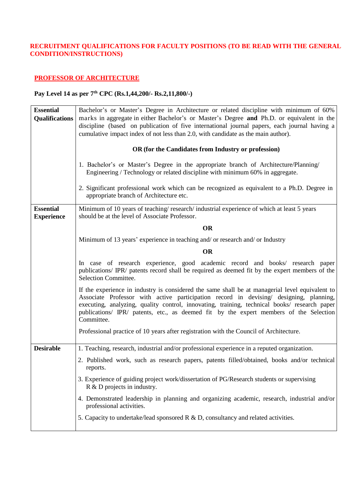#### **RECRUITMENT QUALIFICATIONS FOR FACULTY POSITIONS (TO BE READ WITH THE GENERAL CONDITION/INSTRUCTIONS)**

#### **PROFESSOR OF ARCHITECTURE**

| <b>Essential</b>                      | Bachelor's or Master's Degree in Architecture or related discipline with minimum of 60%                                                                                                                                                                                                                                                                                                           |
|---------------------------------------|---------------------------------------------------------------------------------------------------------------------------------------------------------------------------------------------------------------------------------------------------------------------------------------------------------------------------------------------------------------------------------------------------|
| Qualifications                        | marks in aggregate in either Bachelor's or Master's Degree and Ph.D. or equivalent in the                                                                                                                                                                                                                                                                                                         |
|                                       | discipline (based on publication of five international journal papers, each journal having a                                                                                                                                                                                                                                                                                                      |
|                                       | cumulative impact index of not less than 2.0, with candidate as the main author).                                                                                                                                                                                                                                                                                                                 |
|                                       | OR (for the Candidates from Industry or profession)                                                                                                                                                                                                                                                                                                                                               |
|                                       | 1. Bachelor's or Master's Degree in the appropriate branch of Architecture/Planning/<br>Engineering / Technology or related discipline with minimum 60% in aggregate.                                                                                                                                                                                                                             |
|                                       | 2. Significant professional work which can be recognized as equivalent to a Ph.D. Degree in<br>appropriate branch of Architecture etc.                                                                                                                                                                                                                                                            |
| <b>Essential</b><br><b>Experience</b> | Minimum of 10 years of teaching/research/industrial experience of which at least 5 years<br>should be at the level of Associate Professor.                                                                                                                                                                                                                                                        |
|                                       | <b>OR</b>                                                                                                                                                                                                                                                                                                                                                                                         |
|                                       | Minimum of 13 years' experience in teaching and/ or research and/ or Industry                                                                                                                                                                                                                                                                                                                     |
|                                       | <b>OR</b>                                                                                                                                                                                                                                                                                                                                                                                         |
|                                       |                                                                                                                                                                                                                                                                                                                                                                                                   |
|                                       | In case of research experience, good academic record and books/ research paper<br>publications/ IPR/ patents record shall be required as deemed fit by the expert members of the<br>Selection Committee.                                                                                                                                                                                          |
|                                       | If the experience in industry is considered the same shall be at managerial level equivalent to<br>Associate Professor with active participation record in devising/ designing, planning,<br>executing, analyzing, quality control, innovating, training, technical books/ research paper<br>publications/ IPR/ patents, etc., as deemed fit by the expert members of the Selection<br>Committee. |
|                                       | Professional practice of 10 years after registration with the Council of Architecture.                                                                                                                                                                                                                                                                                                            |
| <b>Desirable</b>                      | 1. Teaching, research, industrial and/or professional experience in a reputed organization.                                                                                                                                                                                                                                                                                                       |
|                                       | 2. Published work, such as research papers, patents filled/obtained, books and/or technical<br>reports.                                                                                                                                                                                                                                                                                           |
|                                       | 3. Experience of guiding project work/dissertation of PG/Research students or supervising<br>$R \& D$ projects in industry.                                                                                                                                                                                                                                                                       |
|                                       | 4. Demonstrated leadership in planning and organizing academic, research, industrial and/or<br>professional activities.                                                                                                                                                                                                                                                                           |
|                                       | 5. Capacity to undertake/lead sponsored R & D, consultancy and related activities.                                                                                                                                                                                                                                                                                                                |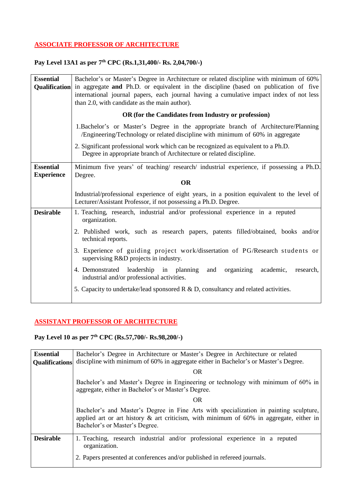## **ASSOCIATE PROFESSOR OF ARCHITECTURE**

#### **Pay Level 13A1 as per 7 th CPC (Rs.1,31,400/- Rs. 2,04,700/-)**

| Bachelor's or Master's Degree in Architecture or related discipline with minimum of 60%<br>in aggregate and Ph.D. or equivalent in the discipline (based on publication of five<br><b>Qualification</b><br>international journal papers, each journal having a cumulative impact index of not less<br>than 2.0, with candidate as the main author).<br>OR (for the Candidates from Industry or profession)                                                                 |
|----------------------------------------------------------------------------------------------------------------------------------------------------------------------------------------------------------------------------------------------------------------------------------------------------------------------------------------------------------------------------------------------------------------------------------------------------------------------------|
| 1. Bachelor's or Master's Degree in the appropriate branch of Architecture/Planning<br>/Engineering/Technology or related discipline with minimum of 60% in aggregate                                                                                                                                                                                                                                                                                                      |
| 2. Significant professional work which can be recognized as equivalent to a Ph.D.<br>Degree in appropriate branch of Architecture or related discipline.                                                                                                                                                                                                                                                                                                                   |
| Minimum five years' of teaching/ research/ industrial experience, if possessing a Ph.D.<br>Degree.<br><b>OR</b>                                                                                                                                                                                                                                                                                                                                                            |
| Industrial/professional experience of eight years, in a position equivalent to the level of<br>Lecturer/Assistant Professor, if not possessing a Ph.D. Degree.                                                                                                                                                                                                                                                                                                             |
| 1. Teaching, research, industrial and/or professional experience in a reputed<br>organization.<br>2. Published work, such as research papers, patents filled/obtained, books and/or<br>technical reports.<br>3. Experience of guiding project work/dissertation of PG/Research students or<br>supervising R&D projects in industry.<br>4. Demonstrated leadership in planning<br>and<br>organizing<br>academic,<br>research,<br>industrial and/or professional activities. |
|                                                                                                                                                                                                                                                                                                                                                                                                                                                                            |

# **ASSISTANT PROFESSOR OF ARCHITECTURE**

| <b>Essential</b><br><b>Qualifications</b> | Bachelor's Degree in Architecture or Master's Degree in Architecture or related<br>discipline with minimum of 60% in aggregate either in Bachelor's or Master's Degree.                                                |
|-------------------------------------------|------------------------------------------------------------------------------------------------------------------------------------------------------------------------------------------------------------------------|
|                                           | OR                                                                                                                                                                                                                     |
|                                           | Bachelor's and Master's Degree in Engineering or technology with minimum of 60% in<br>aggregate, either in Bachelor's or Master's Degree.                                                                              |
|                                           | <b>OR</b>                                                                                                                                                                                                              |
|                                           | Bachelor's and Master's Degree in Fine Arts with specialization in painting sculpture,<br>applied art or art history $\&$ art criticism, with minimum of 60% in aggregate, either in<br>Bachelor's or Master's Degree. |
| <b>Desirable</b>                          | 1. Teaching, research industrial and/or professional experience in a reputed<br>organization.                                                                                                                          |
|                                           | 2. Papers presented at conferences and/or published in refereed journals.                                                                                                                                              |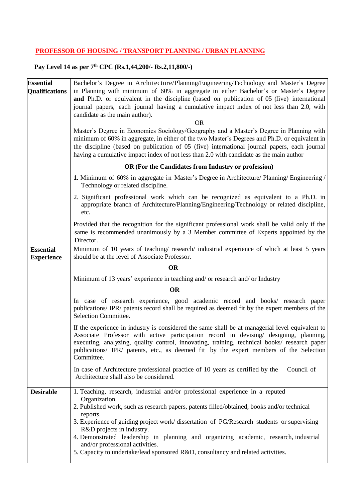## **PROFESSOR OF HOUSING / TRANSPORT PLANNING / URBAN PLANNING**

| <b>Essential</b><br><b>Qualifications</b> | Bachelor's Degree in Architecture/Planning/Engineering/Technology and Master's Degree<br>in Planning with minimum of 60% in aggregate in either Bachelor's or Master's Degree<br>and Ph.D. or equivalent in the discipline (based on publication of 05 (five) international<br>journal papers, each journal having a cumulative impact index of not less than 2.0, with<br>candidate as the main author).<br><b>OR</b><br>Master's Degree in Economics Sociology/Geography and a Master's Degree in Planning with<br>minimum of 60% in aggregate, in either of the two Master's Degrees and Ph.D. or equivalent in<br>the discipline (based on publication of 05 (five) international journal papers, each journal<br>having a cumulative impact index of not less than 2.0 with candidate as the main author |
|-------------------------------------------|---------------------------------------------------------------------------------------------------------------------------------------------------------------------------------------------------------------------------------------------------------------------------------------------------------------------------------------------------------------------------------------------------------------------------------------------------------------------------------------------------------------------------------------------------------------------------------------------------------------------------------------------------------------------------------------------------------------------------------------------------------------------------------------------------------------|
|                                           | OR (For the Candidates from Industry or profession)                                                                                                                                                                                                                                                                                                                                                                                                                                                                                                                                                                                                                                                                                                                                                           |
|                                           | <b>1.</b> Minimum of 60% in aggregate in Master's Degree in Architecture/ Planning/ Engineering /<br>Technology or related discipline.                                                                                                                                                                                                                                                                                                                                                                                                                                                                                                                                                                                                                                                                        |
|                                           | 2. Significant professional work which can be recognized as equivalent to a Ph.D. in<br>appropriate branch of Architecture/Planning/Engineering/Technology or related discipline,<br>etc.                                                                                                                                                                                                                                                                                                                                                                                                                                                                                                                                                                                                                     |
|                                           | Provided that the recognition for the significant professional work shall be valid only if the<br>same is recommended unanimously by a 3 Member committee of Experts appointed by the<br>Director.                                                                                                                                                                                                                                                                                                                                                                                                                                                                                                                                                                                                            |
| <b>Essential</b>                          | Minimum of 10 years of teaching/research/ industrial experience of which at least 5 years<br>should be at the level of Associate Professor.                                                                                                                                                                                                                                                                                                                                                                                                                                                                                                                                                                                                                                                                   |
| <b>Experience</b>                         | <b>OR</b>                                                                                                                                                                                                                                                                                                                                                                                                                                                                                                                                                                                                                                                                                                                                                                                                     |
|                                           | Minimum of 13 years' experience in teaching and/ or research and/ or Industry                                                                                                                                                                                                                                                                                                                                                                                                                                                                                                                                                                                                                                                                                                                                 |
|                                           | <b>OR</b>                                                                                                                                                                                                                                                                                                                                                                                                                                                                                                                                                                                                                                                                                                                                                                                                     |
|                                           | In case of research experience, good academic record and books/ research paper<br>publications/ IPR/ patents record shall be required as deemed fit by the expert members of the<br>Selection Committee.                                                                                                                                                                                                                                                                                                                                                                                                                                                                                                                                                                                                      |
|                                           | If the experience in industry is considered the same shall be at managerial level equivalent to<br>Associate Professor with active participation record in devising/ designing, planning,<br>executing, analyzing, quality control, innovating, training, technical books/ research paper<br>publications/ IPR/ patents, etc., as deemed fit by the expert members of the Selection<br>Committee.                                                                                                                                                                                                                                                                                                                                                                                                             |
|                                           | In case of Architecture professional practice of 10 years as certified by the<br>Council of<br>Architecture shall also be considered.                                                                                                                                                                                                                                                                                                                                                                                                                                                                                                                                                                                                                                                                         |
| <b>Desirable</b>                          | 1. Teaching, research, industrial and/or professional experience in a reputed<br>Organization.<br>2. Published work, such as research papers, patents filled/obtained, books and/or technical<br>reports.<br>3. Experience of guiding project work/ dissertation of PG/Research students or supervising<br>R&D projects in industry.<br>4. Demonstrated leadership in planning and organizing academic, research, industrial<br>and/or professional activities.<br>5. Capacity to undertake/lead sponsored R&D, consultancy and related activities.                                                                                                                                                                                                                                                           |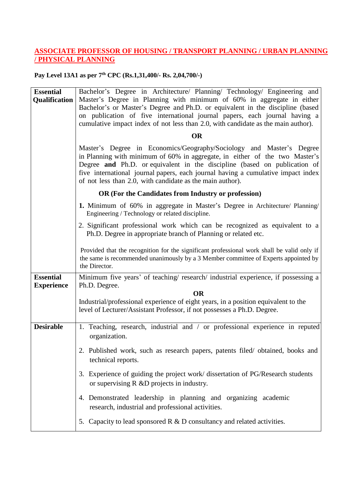## **ASSOCIATE PROFESSOR OF HOUSING / TRANSPORT PLANNING / URBAN PLANNING / PHYSICAL PLANNING**

### **Pay Level 13A1 as per 7 th CPC (Rs.1,31,400/- Rs. 2,04,700/-)**

| <b>Essential</b><br>Qualification     | Bachelor's Degree in Architecture/ Planning/ Technology/ Engineering and<br>Master's Degree in Planning with minimum of 60% in aggregate in either<br>Bachelor's or Master's Degree and Ph.D. or equivalent in the discipline (based<br>on publication of five international journal papers, each journal having a<br>cumulative impact index of not less than 2.0, with candidate as the main author).<br><b>OR</b><br>Master's Degree in Economics/Geography/Sociology and Master's Degree<br>in Planning with minimum of 60% in aggregate, in either of the two Master's<br>Degree and Ph.D. or equivalent in the discipline (based on publication of |
|---------------------------------------|----------------------------------------------------------------------------------------------------------------------------------------------------------------------------------------------------------------------------------------------------------------------------------------------------------------------------------------------------------------------------------------------------------------------------------------------------------------------------------------------------------------------------------------------------------------------------------------------------------------------------------------------------------|
|                                       | five international journal papers, each journal having a cumulative impact index<br>of not less than 2.0, with candidate as the main author).                                                                                                                                                                                                                                                                                                                                                                                                                                                                                                            |
|                                       | OR (For the Candidates from Industry or profession)                                                                                                                                                                                                                                                                                                                                                                                                                                                                                                                                                                                                      |
|                                       | 1. Minimum of 60% in aggregate in Master's Degree in Architecture/ Planning/<br>Engineering / Technology or related discipline.                                                                                                                                                                                                                                                                                                                                                                                                                                                                                                                          |
|                                       | 2. Significant professional work which can be recognized as equivalent to a<br>Ph.D. Degree in appropriate branch of Planning or related etc.                                                                                                                                                                                                                                                                                                                                                                                                                                                                                                            |
|                                       | Provided that the recognition for the significant professional work shall be valid only if<br>the same is recommended unanimously by a 3 Member committee of Experts appointed by<br>the Director.                                                                                                                                                                                                                                                                                                                                                                                                                                                       |
| <b>Essential</b><br><b>Experience</b> | Minimum five years' of teaching/ research/ industrial experience, if possessing a<br>Ph.D. Degree.                                                                                                                                                                                                                                                                                                                                                                                                                                                                                                                                                       |
|                                       | <b>OR</b>                                                                                                                                                                                                                                                                                                                                                                                                                                                                                                                                                                                                                                                |
|                                       | Industrial/professional experience of eight years, in a position equivalent to the<br>level of Lecturer/Assistant Professor, if not possesses a Ph.D. Degree.                                                                                                                                                                                                                                                                                                                                                                                                                                                                                            |
| <b>Desirable</b>                      | 1. Teaching, research, industrial and / or professional experience in reputed<br>organization.                                                                                                                                                                                                                                                                                                                                                                                                                                                                                                                                                           |
|                                       | 2. Published work, such as research papers, patents filed/obtained, books and<br>technical reports.                                                                                                                                                                                                                                                                                                                                                                                                                                                                                                                                                      |
|                                       | Experience of guiding the project work/ dissertation of PG/Research students<br>3.<br>or supervising $R \& D$ projects in industry.                                                                                                                                                                                                                                                                                                                                                                                                                                                                                                                      |
|                                       | 4. Demonstrated leadership in planning and organizing academic<br>research, industrial and professional activities.                                                                                                                                                                                                                                                                                                                                                                                                                                                                                                                                      |
|                                       | 5. Capacity to lead sponsored $R \& D$ consultancy and related activities.                                                                                                                                                                                                                                                                                                                                                                                                                                                                                                                                                                               |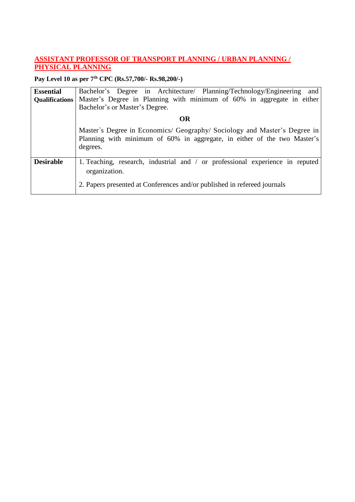## **ASSISTANT PROFESSOR OF TRANSPORT PLANNING / URBAN PLANNING / PHYSICAL PLANNING**

| <b>Essential</b>      | Bachelor's Degree in Architecture/ Planning/Technology/Engineering and                                                                                                     |
|-----------------------|----------------------------------------------------------------------------------------------------------------------------------------------------------------------------|
| <b>Qualifications</b> | Master's Degree in Planning with minimum of 60% in aggregate in either                                                                                                     |
|                       | Bachelor's or Master's Degree.                                                                                                                                             |
|                       | OR                                                                                                                                                                         |
|                       | Master's Degree in Economics/ Geography/ Sociology and Master's Degree in<br>Planning with minimum of 60% in aggregate, in either of the two Master's<br>degrees.          |
| <b>Desirable</b>      | 1. Teaching, research, industrial and / or professional experience in reputed<br>organization.<br>2. Papers presented at Conferences and/or published in refereed journals |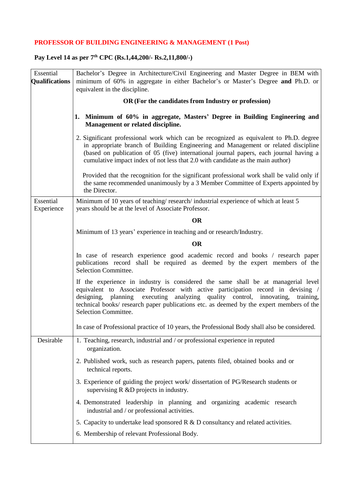## **PROFESSOR OF BUILDING ENGINEERING & MANAGEMENT (1 Post)**

| Essential<br><b>Qualifications</b> | Bachelor's Degree in Architecture/Civil Engineering and Master Degree in BEM with<br>minimum of 60% in aggregate in either Bachelor's or Master's Degree and Ph.D. or<br>equivalent in the discipline.                                                                                                                                                                            |
|------------------------------------|-----------------------------------------------------------------------------------------------------------------------------------------------------------------------------------------------------------------------------------------------------------------------------------------------------------------------------------------------------------------------------------|
|                                    | OR (For the candidates from Industry or profession)                                                                                                                                                                                                                                                                                                                               |
|                                    | 1. Minimum of 60% in aggregate, Masters' Degree in Building Engineering and<br>Management or related discipline.                                                                                                                                                                                                                                                                  |
|                                    | 2. Significant professional work which can be recognized as equivalent to Ph.D. degree<br>in appropriate branch of Building Engineering and Management or related discipline<br>(based on publication of 05 (five) international journal papers, each journal having a<br>cumulative impact index of not less that 2.0 with candidate as the main author)                         |
|                                    | Provided that the recognition for the significant professional work shall be valid only if<br>the same recommended unanimously by a 3 Member Committee of Experts appointed by<br>the Director.                                                                                                                                                                                   |
| Essential<br>Experience            | Minimum of 10 years of teaching/research/industrial experience of which at least 5<br>years should be at the level of Associate Professor.                                                                                                                                                                                                                                        |
|                                    | <b>OR</b>                                                                                                                                                                                                                                                                                                                                                                         |
|                                    | Minimum of 13 years' experience in teaching and or research/Industry.                                                                                                                                                                                                                                                                                                             |
|                                    | <b>OR</b>                                                                                                                                                                                                                                                                                                                                                                         |
|                                    | In case of research experience good academic record and books / research paper<br>publications record shall be required as deemed by the expert members of the<br>Selection Committee.                                                                                                                                                                                            |
|                                    | If the experience in industry is considered the same shall be at managerial level<br>equivalent to Associate Professor with active participation record in devising /<br>executing analyzing quality control, innovating,<br>designing, planning<br>training,<br>technical books/ research paper publications etc. as deemed by the expert members of the<br>Selection Committee. |
|                                    | In case of Professional practice of 10 years, the Professional Body shall also be considered.                                                                                                                                                                                                                                                                                     |
| Desirable                          | 1. Teaching, research, industrial and / or professional experience in reputed<br>organization.                                                                                                                                                                                                                                                                                    |
|                                    | 2. Published work, such as research papers, patents filed, obtained books and or<br>technical reports.                                                                                                                                                                                                                                                                            |
|                                    | 3. Experience of guiding the project work/ dissertation of PG/Research students or<br>supervising R &D projects in industry.                                                                                                                                                                                                                                                      |
|                                    | 4. Demonstrated leadership in planning and organizing academic research<br>industrial and / or professional activities.                                                                                                                                                                                                                                                           |
|                                    | 5. Capacity to undertake lead sponsored $R \& D$ consultancy and related activities.                                                                                                                                                                                                                                                                                              |
|                                    | 6. Membership of relevant Professional Body.                                                                                                                                                                                                                                                                                                                                      |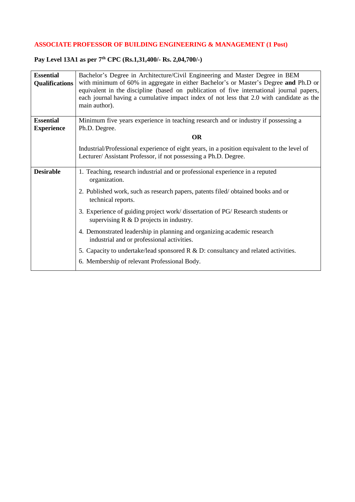## **ASSOCIATE PROFESSOR OF BUILDING ENGINEERING & MANAGEMENT (1 Post)**

#### **Pay Level 13A1 as per 7 th CPC (Rs.1,31,400/- Rs. 2,04,700/-)**

| <b>Essential</b><br><b>Qualifications</b> | Bachelor's Degree in Architecture/Civil Engineering and Master Degree in BEM<br>with minimum of 60% in aggregate in either Bachelor's or Master's Degree and Ph.D or<br>equivalent in the discipline (based on publication of five international journal papers,<br>each journal having a cumulative impact index of not less that 2.0 with candidate as the<br>main author). |
|-------------------------------------------|-------------------------------------------------------------------------------------------------------------------------------------------------------------------------------------------------------------------------------------------------------------------------------------------------------------------------------------------------------------------------------|
| <b>Essential</b>                          | Minimum five years experience in teaching research and or industry if possessing a                                                                                                                                                                                                                                                                                            |
| <b>Experience</b>                         | Ph.D. Degree.                                                                                                                                                                                                                                                                                                                                                                 |
|                                           | <b>OR</b>                                                                                                                                                                                                                                                                                                                                                                     |
|                                           | Industrial/Professional experience of eight years, in a position equivalent to the level of<br>Lecturer/ Assistant Professor, if not possessing a Ph.D. Degree.                                                                                                                                                                                                               |
| <b>Desirable</b>                          | 1. Teaching, research industrial and or professional experience in a reputed<br>organization.                                                                                                                                                                                                                                                                                 |
|                                           | 2. Published work, such as research papers, patents filed/obtained books and or<br>technical reports.                                                                                                                                                                                                                                                                         |
|                                           | 3. Experience of guiding project work/ dissertation of PG/ Research students or<br>supervising $R \& D$ projects in industry.                                                                                                                                                                                                                                                 |
|                                           | 4. Demonstrated leadership in planning and organizing academic research<br>industrial and or professional activities.                                                                                                                                                                                                                                                         |
|                                           | 5. Capacity to undertake/lead sponsored $R \& D$ : consultancy and related activities.                                                                                                                                                                                                                                                                                        |
|                                           | 6. Membership of relevant Professional Body.                                                                                                                                                                                                                                                                                                                                  |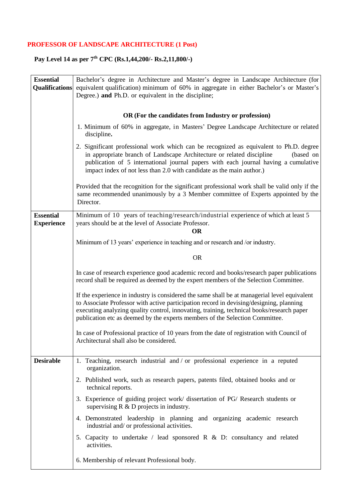# **PROFESSOR OF LANDSCAPE ARCHITECTURE (1 Post)**

| <b>Essential</b><br><b>Qualifications</b> | Bachelor's degree in Architecture and Master's degree in Landscape Architecture (for<br>equivalent qualification) minimum of 60% in aggregate in either Bachelor's or Master's                                                                                                                                                                                       |
|-------------------------------------------|----------------------------------------------------------------------------------------------------------------------------------------------------------------------------------------------------------------------------------------------------------------------------------------------------------------------------------------------------------------------|
|                                           | Degree.) and Ph.D. or equivalent in the discipline;                                                                                                                                                                                                                                                                                                                  |
|                                           | OR (For the candidates from Industry or profession)                                                                                                                                                                                                                                                                                                                  |
|                                           | 1. Minimum of 60% in aggregate, in Masters' Degree Landscape Architecture or related<br>discipline.                                                                                                                                                                                                                                                                  |
|                                           | 2. Significant professional work which can be recognized as equivalent to Ph.D. degree<br>in appropriate branch of Landscape Architecture or related discipline<br>(based on<br>publication of 5 international journal papers with each journal having a cumulative<br>impact index of not less than 2.0 with candidate as the main author.)                         |
|                                           | Provided that the recognition for the significant professional work shall be valid only if the<br>same recommended unanimously by a 3 Member committee of Experts appointed by the<br>Director.                                                                                                                                                                      |
| <b>Essential</b><br><b>Experience</b>     | Minimum of 10 years of teaching/research/industrial experience of which at least 5<br>years should be at the level of Associate Professor.<br><b>OR</b>                                                                                                                                                                                                              |
|                                           | Minimum of 13 years' experience in teaching and or research and /or industry.                                                                                                                                                                                                                                                                                        |
|                                           | <b>OR</b>                                                                                                                                                                                                                                                                                                                                                            |
|                                           | In case of research experience good academic record and books/research paper publications<br>record shall be required as deemed by the expert members of the Selection Committee.                                                                                                                                                                                    |
|                                           | If the experience in industry is considered the same shall be at managerial level equivalent<br>to Associate Professor with active participation record in devising/designing, planning<br>executing analyzing quality control, innovating, training, technical books/research paper<br>publication etc as deemed by the experts members of the Selection Committee. |
|                                           | In case of Professional practice of 10 years from the date of registration with Council of<br>Architectural shall also be considered.                                                                                                                                                                                                                                |
| <b>Desirable</b>                          | 1. Teaching, research industrial and / or professional experience in a reputed<br>organization.                                                                                                                                                                                                                                                                      |
|                                           | 2. Published work, such as research papers, patents filed, obtained books and or<br>technical reports.                                                                                                                                                                                                                                                               |
|                                           | 3. Experience of guiding project work/ dissertation of PG/ Research students or<br>supervising $R \& D$ projects in industry.                                                                                                                                                                                                                                        |
|                                           | 4. Demonstrated leadership in planning and organizing academic research<br>industrial and/ or professional activities.                                                                                                                                                                                                                                               |
|                                           | 5. Capacity to undertake / lead sponsored R $\&$ D: consultancy and related<br>activities.                                                                                                                                                                                                                                                                           |
|                                           | 6. Membership of relevant Professional body.                                                                                                                                                                                                                                                                                                                         |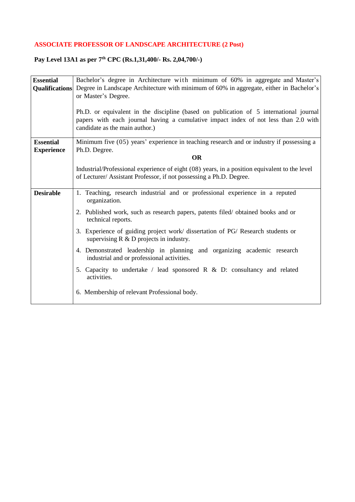## **ASSOCIATE PROFESSOR OF LANDSCAPE ARCHITECTURE (2 Post)**

#### **Pay Level 13A1 as per 7 th CPC (Rs.1,31,400/- Rs. 2,04,700/-)**

| <b>Essential</b>      | Bachelor's degree in Architecture with minimum of 60% in aggregate and Master's               |
|-----------------------|-----------------------------------------------------------------------------------------------|
|                       |                                                                                               |
| <b>Qualifications</b> | Degree in Landscape Architecture with minimum of 60% in aggregate, either in Bachelor's       |
|                       | or Master's Degree.                                                                           |
|                       |                                                                                               |
|                       | Ph.D. or equivalent in the discipline (based on publication of 5 international journal        |
|                       | papers with each journal having a cumulative impact index of not less than 2.0 with           |
|                       | candidate as the main author.)                                                                |
|                       |                                                                                               |
| <b>Essential</b>      | Minimum five (05) years' experience in teaching research and or industry if possessing a      |
|                       |                                                                                               |
| <b>Experience</b>     | Ph.D. Degree.                                                                                 |
|                       | <b>OR</b>                                                                                     |
|                       | Industrial/Professional experience of eight (08) years, in a position equivalent to the level |
|                       | of Lecturer/ Assistant Professor, if not possessing a Ph.D. Degree.                           |
|                       |                                                                                               |
| <b>Desirable</b>      |                                                                                               |
|                       | 1. Teaching, research industrial and or professional experience in a reputed                  |
|                       | organization.                                                                                 |
|                       | 2. Published work, such as research papers, patents filed/ obtained books and or              |
|                       | technical reports.                                                                            |
|                       |                                                                                               |
|                       | 3. Experience of guiding project work/ dissertation of PG/ Research students or               |
|                       | supervising $R \& D$ projects in industry.                                                    |
|                       |                                                                                               |
|                       | 4. Demonstrated leadership in planning and organizing academic research                       |
|                       | industrial and or professional activities.                                                    |
|                       | 5. Capacity to undertake / lead sponsored R $\&$ D: consultancy and related                   |
|                       | activities.                                                                                   |
|                       |                                                                                               |
|                       | 6. Membership of relevant Professional body.                                                  |
|                       |                                                                                               |
|                       |                                                                                               |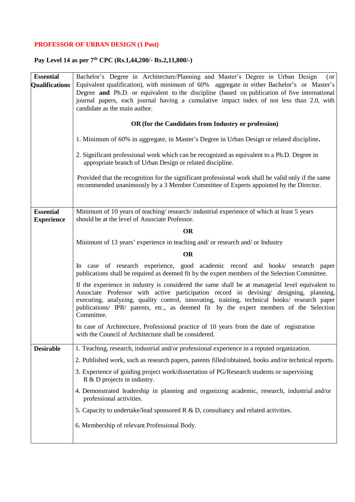# **PROFESSOR OF URBAN DESIGN (1 Post)**

| <b>Essential</b><br><b>Qualifications</b> | Bachelor's Degree in Architecture/Planning and Master's Degree in Urban Design<br>(or<br>Equivalent qualification), with minimum of 60% aggregate in either Bachelor's or Master's<br>Degree and Ph.D. or equivalent to the discipline (based on publication of five international                                                                                                                |
|-------------------------------------------|---------------------------------------------------------------------------------------------------------------------------------------------------------------------------------------------------------------------------------------------------------------------------------------------------------------------------------------------------------------------------------------------------|
|                                           | journal papers, each journal having a cumulative impact index of not less than 2.0, with<br>candidate as the main author.                                                                                                                                                                                                                                                                         |
|                                           | OR (for the Candidates from Industry or profession)                                                                                                                                                                                                                                                                                                                                               |
|                                           | 1. Minimum of 60% in aggregate, in Master's Degree in Urban Design or related discipline.                                                                                                                                                                                                                                                                                                         |
|                                           | 2. Significant professional work which can be recognized as equivalent to a Ph.D. Degree in<br>appropriate branch of Urban Design or related discipline.                                                                                                                                                                                                                                          |
|                                           | Provided that the recognition for the significant professional work shall be valid only if the same<br>recommended unanimously by a 3 Member Committee of Experts appointed by the Director.                                                                                                                                                                                                      |
|                                           |                                                                                                                                                                                                                                                                                                                                                                                                   |
| <b>Essential</b><br><b>Experience</b>     | Minimum of 10 years of teaching/research/industrial experience of which at least 5 years<br>should be at the level of Associate Professor.                                                                                                                                                                                                                                                        |
|                                           | <b>OR</b>                                                                                                                                                                                                                                                                                                                                                                                         |
|                                           | Minimum of 13 years' experience in teaching and/ or research and/ or Industry                                                                                                                                                                                                                                                                                                                     |
|                                           | <b>OR</b>                                                                                                                                                                                                                                                                                                                                                                                         |
|                                           | In case of research experience, good academic record and books/ research paper<br>publications shall be required as deemed fit by the expert members of the Selection Committee.                                                                                                                                                                                                                  |
|                                           | If the experience in industry is considered the same shall be at managerial level equivalent to<br>Associate Professor with active participation record in devising/ designing, planning,<br>executing, analyzing, quality control, innovating, training, technical books/ research paper<br>publications/ IPR/ patents, etc., as deemed fit by the expert members of the Selection<br>Committee. |
|                                           | In case of Architecture, Professional practice of 10 years from the date of registration<br>with the Council of Architecture shall be considered.                                                                                                                                                                                                                                                 |
| <b>Desirable</b>                          | 1. Teaching, research, industrial and/or professional experience in a reputed organization.                                                                                                                                                                                                                                                                                                       |
|                                           | 2. Published work, such as research papers, patents filled/obtained, books and/or technical reports.                                                                                                                                                                                                                                                                                              |
|                                           | 3. Experience of guiding project work/dissertation of PG/Research students or supervising<br>R & D projects in industry.                                                                                                                                                                                                                                                                          |
|                                           | 4. Demonstrated leadership in planning and organizing academic, research, industrial and/or<br>professional activities.                                                                                                                                                                                                                                                                           |
|                                           | 5. Capacity to undertake/lead sponsored R & D, consultancy and related activities.                                                                                                                                                                                                                                                                                                                |
|                                           | 6. Membership of relevant Professional Body.                                                                                                                                                                                                                                                                                                                                                      |
|                                           |                                                                                                                                                                                                                                                                                                                                                                                                   |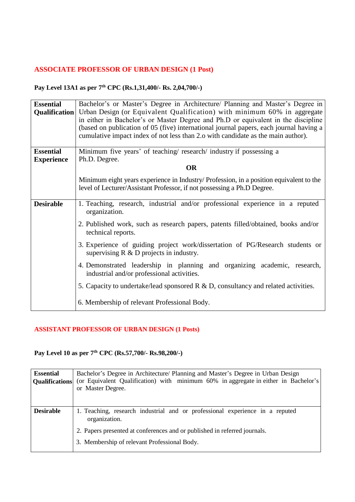## **ASSOCIATE PROFESSOR OF URBAN DESIGN (1 Post)**

### **Pay Level 13A1 as per 7 th CPC (Rs.1,31,400/- Rs. 2,04,700/-)**

| <b>Essential</b>  | Bachelor's or Master's Degree in Architecture/ Planning and Master's Degree in<br>Qualification   Urban Design (or Equivalent Qualification) with minimum 60% in aggregate<br>in either in Bachelor's or Master Degree and Ph.D or equivalent in the discipline<br>(based on publication of 05 (five) international journal papers, each journal having a<br>cumulative impact index of not less than 2.0 with candidate as the main author). |
|-------------------|-----------------------------------------------------------------------------------------------------------------------------------------------------------------------------------------------------------------------------------------------------------------------------------------------------------------------------------------------------------------------------------------------------------------------------------------------|
| <b>Essential</b>  | Minimum five years' of teaching/research/industry if possessing a                                                                                                                                                                                                                                                                                                                                                                             |
| <b>Experience</b> | Ph.D. Degree.<br><b>OR</b>                                                                                                                                                                                                                                                                                                                                                                                                                    |
|                   |                                                                                                                                                                                                                                                                                                                                                                                                                                               |
|                   | Minimum eight years experience in Industry/ Profession, in a position equivalent to the<br>level of Lecturer/Assistant Professor, if not possessing a Ph.D Degree.                                                                                                                                                                                                                                                                            |
| <b>Desirable</b>  | 1. Teaching, research, industrial and/or professional experience in a reputed<br>organization.                                                                                                                                                                                                                                                                                                                                                |
|                   | 2. Published work, such as research papers, patents filled/obtained, books and/or<br>technical reports.                                                                                                                                                                                                                                                                                                                                       |
|                   | 3. Experience of guiding project work/dissertation of PG/Research students or<br>supervising $R \& D$ projects in industry.                                                                                                                                                                                                                                                                                                                   |
|                   | 4. Demonstrated leadership in planning and organizing academic, research,<br>industrial and/or professional activities.                                                                                                                                                                                                                                                                                                                       |
|                   | 5. Capacity to undertake/lead sponsored $R \& D$ , consultancy and related activities.                                                                                                                                                                                                                                                                                                                                                        |
|                   | 6. Membership of relevant Professional Body.                                                                                                                                                                                                                                                                                                                                                                                                  |

## **ASSISTANT PROFESSOR OF URBAN DESIGN (1 Posts)**

| <b>Essential</b><br><b>Qualifications</b> | Bachelor's Degree in Architecture/ Planning and Master's Degree in Urban Design<br>(or Equivalent Qualification) with minimum 60% in aggregate in either in Bachelor's<br>or Master Degree. |
|-------------------------------------------|---------------------------------------------------------------------------------------------------------------------------------------------------------------------------------------------|
| <b>Desirable</b>                          | 1. Teaching, research industrial and or professional experience in a reputed<br>organization.<br>2. Papers presented at conferences and or published in referred journals.                  |
|                                           | 3. Membership of relevant Professional Body.                                                                                                                                                |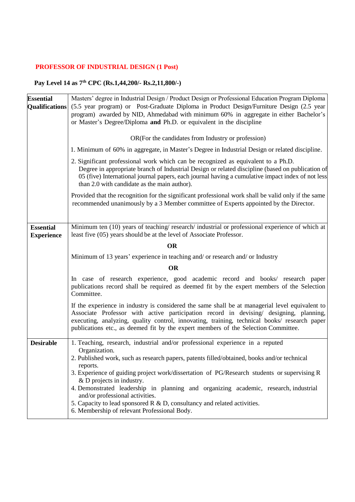# **PROFESSOR OF INDUSTRIAL DESIGN (1 Post)**

| <b>Essential</b>                      | Masters' degree in Industrial Design / Product Design or Professional Education Program Diploma                                                                                                                                                                                                                                                                                |
|---------------------------------------|--------------------------------------------------------------------------------------------------------------------------------------------------------------------------------------------------------------------------------------------------------------------------------------------------------------------------------------------------------------------------------|
| <b>Qualifications</b>                 | (5.5 year program) or Post-Graduate Diploma in Product Design/Furniture Design (2.5 year<br>program) awarded by NID, Ahmedabad with minimum 60% in aggregate in either Bachelor's                                                                                                                                                                                              |
|                                       | or Master's Degree/Diploma and Ph.D. or equivalent in the discipline                                                                                                                                                                                                                                                                                                           |
|                                       | OR(For the candidates from Industry or profession)                                                                                                                                                                                                                                                                                                                             |
|                                       | 1. Minimum of 60% in aggregate, in Master's Degree in Industrial Design or related discipline.                                                                                                                                                                                                                                                                                 |
|                                       | 2. Significant professional work which can be recognized as equivalent to a Ph.D.<br>Degree in appropriate branch of Industrial Design or related discipline (based on publication of<br>05 (five) International journal papers, each journal having a cumulative impact index of not less<br>than 2.0 with candidate as the main author).                                     |
|                                       | Provided that the recognition for the significant professional work shall be valid only if the same<br>recommended unanimously by a 3 Member committee of Experts appointed by the Director.                                                                                                                                                                                   |
| <b>Essential</b><br><b>Experience</b> | Minimum ten (10) years of teaching/research/industrial or professional experience of which at<br>least five (05) years should be at the level of Associate Professor.                                                                                                                                                                                                          |
|                                       | <b>OR</b>                                                                                                                                                                                                                                                                                                                                                                      |
|                                       | Minimum of 13 years' experience in teaching and/ or research and/ or Industry                                                                                                                                                                                                                                                                                                  |
|                                       | <b>OR</b>                                                                                                                                                                                                                                                                                                                                                                      |
|                                       | In case of research experience, good academic record and books/ research paper<br>publications record shall be required as deemed fit by the expert members of the Selection<br>Committee.                                                                                                                                                                                     |
|                                       | If the experience in industry is considered the same shall be at managerial level equivalent to<br>Associate Professor with active participation record in devising/ designing, planning,<br>executing, analyzing, quality control, innovating, training, technical books/research paper<br>publications etc., as deemed fit by the expert members of the Selection Committee. |
| <b>Desirable</b>                      | 1. Teaching, research, industrial and/or professional experience in a reputed<br>Organization.                                                                                                                                                                                                                                                                                 |
|                                       | 2. Published work, such as research papers, patents filled/obtained, books and/or technical                                                                                                                                                                                                                                                                                    |
|                                       | reports.<br>3. Experience of guiding project work/dissertation of PG/Research students or supervising R                                                                                                                                                                                                                                                                        |
|                                       | & D projects in industry.                                                                                                                                                                                                                                                                                                                                                      |
|                                       | 4. Demonstrated leadership in planning and organizing academic, research, industrial<br>and/or professional activities.                                                                                                                                                                                                                                                        |
|                                       | 5. Capacity to lead sponsored $R \& D$ , consultancy and related activities.<br>6. Membership of relevant Professional Body.                                                                                                                                                                                                                                                   |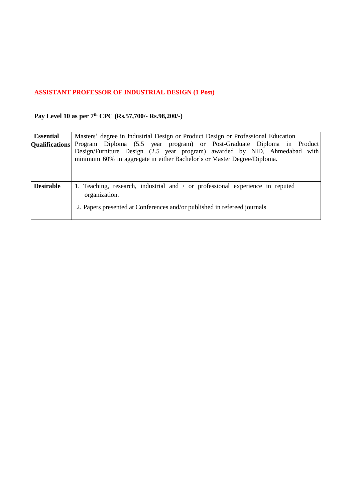## **ASSISTANT PROFESSOR OF INDUSTRIAL DESIGN (1 Post)**

| <b>Essential</b><br><b>Qualifications</b> | Masters' degree in Industrial Design or Product Design or Professional Education<br>Program Diploma (5.5 year program) or Post-Graduate Diploma in Product<br>Design/Furniture Design (2.5 year program) awarded by NID, Ahmedabad with<br>minimum 60% in aggregate in either Bachelor's or Master Degree/Diploma. |
|-------------------------------------------|--------------------------------------------------------------------------------------------------------------------------------------------------------------------------------------------------------------------------------------------------------------------------------------------------------------------|
| <b>Desirable</b>                          | 1. Teaching, research, industrial and / or professional experience in reputed<br>organization.<br>2. Papers presented at Conferences and/or published in refereed journals                                                                                                                                         |